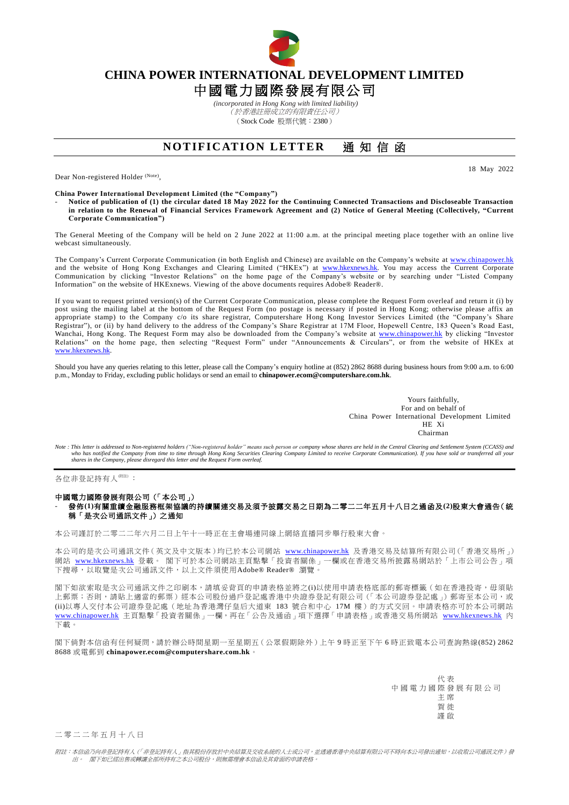

## **CHINA POWER INTERNATIONAL DEVELOPMENT LIMITED**

## 中國電力國際發展有限公司

*(incorporated in Hong Kong with limited liability)* (於香港註冊成立的有限責任公司) (Stock Code 股票代號:2380)

## **NOTIFICATION LETTER** 涌知信函

Dear Non-registered Holder (Note),

18 May 2022

**China Power International Development Limited (the "Company")**

- **Notice of publication of (1) the circular dated 18 May 2022 for the Continuing Connected Transactions and Discloseable Transaction in relation to the Renewal of Financial Services Framework Agreement and (2) Notice of General Meeting (Collectively, "Current Corporate Communication")**

The General Meeting of the Company will be held on 2 June 2022 at 11:00 a.m. at the principal meeting place together with an online live webcast simultaneously.

The Company's Current Corporate Communication (in both English and Chinese) are available on the Company's website at [www.chinapower.hk](http://www.chinapower.hk/) and the website of Hong Kong Exchanges and Clearing Limited ("HKEx") at [www.hkexnews.hk.](http://www.hkexnews.hk/) You may access the Current Corporate Communication by clicking "Investor Relations" on the home page of the Company's website or by searching under "Listed Company Information" on the website of HKExnews. Viewing of the above documents requires Adobe® Reader®.

If you want to request printed version(s) of the Current Corporate Communication, please complete the Request Form overleaf and return it (i) by post using the mailing label at the bottom of the Request Form (no postage is necessary if posted in Hong Kong; otherwise please affix an appropriate stamp) to the Company c/o its share registrar, Computershare Hong Kong Investor Services Limited (the "Company's Share Registrar"), or (ii) by hand delivery to the address of the Company's Share Registrar at 17M Floor, Hopewell Centre, 183 Queen's Road East, Wanchai, Hong Kong. The Request Form may also be downloaded from the Company's website at [www.chinapower.hk](http://www.chinapower.hk/) by clicking "Investor Relations" on the home page, then selecting "Request Form" under "Announcements & Circulars", or from the website of HKEx at [www.hkexnews.hk.](http://www.hkexnews.hk/)

Should you have any queries relating to this letter, please call the Company's enquiry hotline at (852) 2862 8688 during business hours from 9:00 a.m. to 6:00 p.m., Monday to Friday, excluding public holidays or send an email to **[chinapower.ecom@computershare.com.hk](mailto:chinapower.ecom@computershare.com.hk)**.

> Yours faithfully, For and on behalf of China Power International Development Limited HE Xi Chairman

Note : This letter is addressed to Non-registered holders ("Non-registered holder" means such person or company whose shares are held in the Central Clearing and Settlement System (CCASS) and<br>who has notified the Company f *shares in the Company, please disregard this letter and the Request Form overleaf.*

各位非登記持有人<sup>附註)</sup>:

## 中國電力國際發展有限公司(「本公司」) - 發佈**(1)**有關重續金融服務框架協議的持續關連交易及須予披露交易之日期為二零二二年五月十八日之通函及**(2)**股東大會通告(統 稱「是次公司通訊文件」)之通知

本公司謹訂於二零二二年六月二日上午十一時正在主會場連同線上網絡直播同步舉行股東大會。

本公司的是次公司通訊文件(英文及中文版本)均已於本公司網站 [www.chinapower.hk](http://www.chinapower.hk/) 及香港交易及結算所有限公司(「香港交易所」) 網站 [www.hkexnews.hk](http://www.hkexnews.hk/) 登載。 閣下可於本公司網站主頁點擊「投資者關係」一欄或在香港交易所披露易網站於「上市公司公告」項 下搜尋,以取覽是次公司通訊文件,以上文件須使用Adobe® Reader® 瀏覽。

閣下如欲索取是次公司通訊文件之印刷本,請填妥背頁的申請表格並將之(i)以使用申請表格底部的郵寄標籤(如在香港投寄,毋須貼 上郵票;否則,請貼上適當的郵票)經本公司股份過戶登記處香港中央證券登記有限公司(「本公司證券登記處」)郵寄至本公司,或 (ii)以專人交付本公司證券登記處(地址為香港灣仔皇后大道東 183 號合和中心 17M 樓)的方式交回。申請表格亦可於本公司網站 [www.chinapower.hk](http://www.chinapower.hk/) 主頁點擊「投資者關係」一欄,再在「公告及通函」項下選擇「申請表格」或香港交易所網站 [www.hkexnews.hk](http://www.hkexnews.hk/) 內 下載。

閣下倘對本信函有任何疑問,請於辦公時間星期一至星期五(公眾假期除外)上午 9 時正至下午 6 時正致電本公司查詢熱線(852) 2862 8688 或電郵到 **[chinapower.ecom@computershare.com.hk](mailto:chinapower.ecom@computershare.com.hk)**。

> 代 表 中國電力國際發展有限公司 主 席 賀 徙 謹 啟

二 零 二 二 年 五 月 十 八 日

附註:本信函乃向非登記持有人(「非登記持有人」指其股份存放於中央結算及交收系統的人士或公司,並透過香港中央結算有限公司不時向本公司發出通知,以收取公司通訊文件)發 出。 閣下如已經出售或轉讓全部所持有之本公司股份,則無需理會本信函及其背面的申請表格。